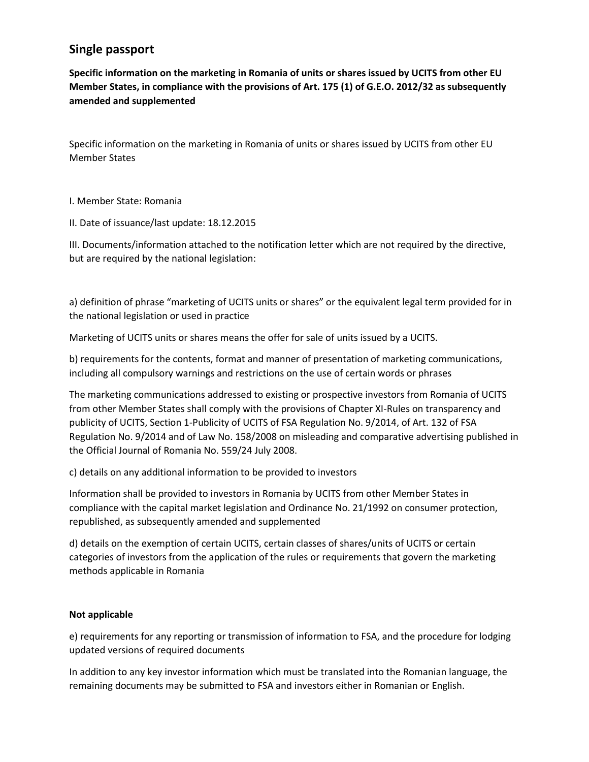## **Single passport**

**Specific information on the marketing in Romania of units or shares issued by UCITS from other EU Member States, in compliance with the provisions of Art. 175 (1) of G.E.O. 2012/32 as subsequently amended and supplemented**

Specific information on the marketing in Romania of units or shares issued by UCITS from other EU Member States

I. Member State: Romania

II. Date of issuance/last update: 18.12.2015

III. Documents/information attached to the notification letter which are not required by the directive, but are required by the national legislation:

a) definition of phrase "marketing of UCITS units or shares" or the equivalent legal term provided for in the national legislation or used in practice

Marketing of UCITS units or shares means the offer for sale of units issued by a UCITS.

b) requirements for the contents, format and manner of presentation of marketing communications, including all compulsory warnings and restrictions on the use of certain words or phrases

The marketing communications addressed to existing or prospective investors from Romania of UCITS from other Member States shall comply with the provisions of Chapter XI-Rules on transparency and publicity of UCITS, Section 1-Publicity of UCITS of FSA Regulation No. 9/2014, of Art. 132 of FSA Regulation No. 9/2014 and of Law No. 158/2008 on misleading and comparative advertising published in the Official Journal of Romania No. 559/24 July 2008.

c) details on any additional information to be provided to investors

Information shall be provided to investors in Romania by UCITS from other Member States in compliance with the capital market legislation and Ordinance No. 21/1992 on consumer protection, republished, as subsequently amended and supplemented

d) details on the exemption of certain UCITS, certain classes of shares/units of UCITS or certain categories of investors from the application of the rules or requirements that govern the marketing methods applicable in Romania

## **Not applicable**

e) requirements for any reporting or transmission of information to FSA, and the procedure for lodging updated versions of required documents

In addition to any key investor information which must be translated into the Romanian language, the remaining documents may be submitted to FSA and investors either in Romanian or English.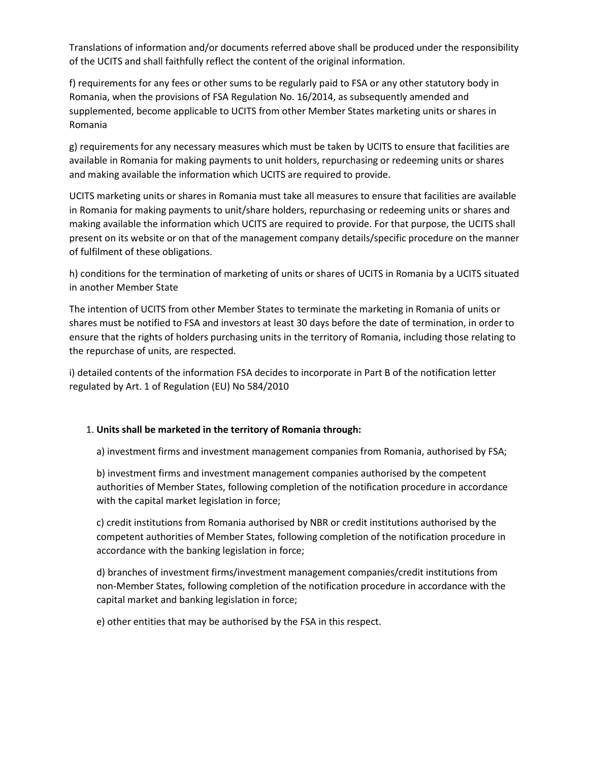Translations of information and/or documents referred above shall be produced under the responsibility of the UCITS and shall faithfully reflect the content of the original information.

f) requirements for any fees or other sums to be regularly paid to FSA or any other statutory body in Romania, when the provisions of FSA Regulation No. 16/2014, as subsequently amended and supplemented, become applicable to UCITS from other Member States marketing units or shares in Romania

g) requirements for any necessary measures which must be taken by UCITS to ensure that facilities are available in Romania for making payments to unit holders, repurchasing or redeeming units or shares and making available the information which UCITS are required to provide.

UCITS marketing units or shares in Romania must take all measures to ensure that facilities are available in Romania for making payments to unit/share holders, repurchasing or redeeming units or shares and making available the information which UCITS are required to provide. For that purpose, the UCITS shall present on its website or on that of the management company details/specific procedure on the manner of fulfilment of these obligations.

h) conditions for the termination of marketing of units or shares of UCITS in Romania by a UCITS situated in another Member State

The intention of UCITS from other Member States to terminate the marketing in Romania of units or shares must be notified to FSA and investors at least 30 days before the date of termination, in order to ensure that the rights of holders purchasing units in the territory of Romania, including those relating to the repurchase of units, are respected.

i) detailed contents of the information FSA decides to incorporate in Part B of the notification letter regulated by Art. 1 of Regulation (EU) No 584/2010

## 1. **Units shall be marketed in the territory of Romania through:**

a) investment firms and investment management companies from Romania, authorised by FSA;

b) investment firms and investment management companies authorised by the competent authorities of Member States, following completion of the notification procedure in accordance with the capital market legislation in force;

c) credit institutions from Romania authorised by NBR or credit institutions authorised by the competent authorities of Member States, following completion of the notification procedure in accordance with the banking legislation in force;

d) branches of investment firms/investment management companies/credit institutions from non-Member States, following completion of the notification procedure in accordance with the capital market and banking legislation in force;

e) other entities that may be authorised by the FSA in this respect.